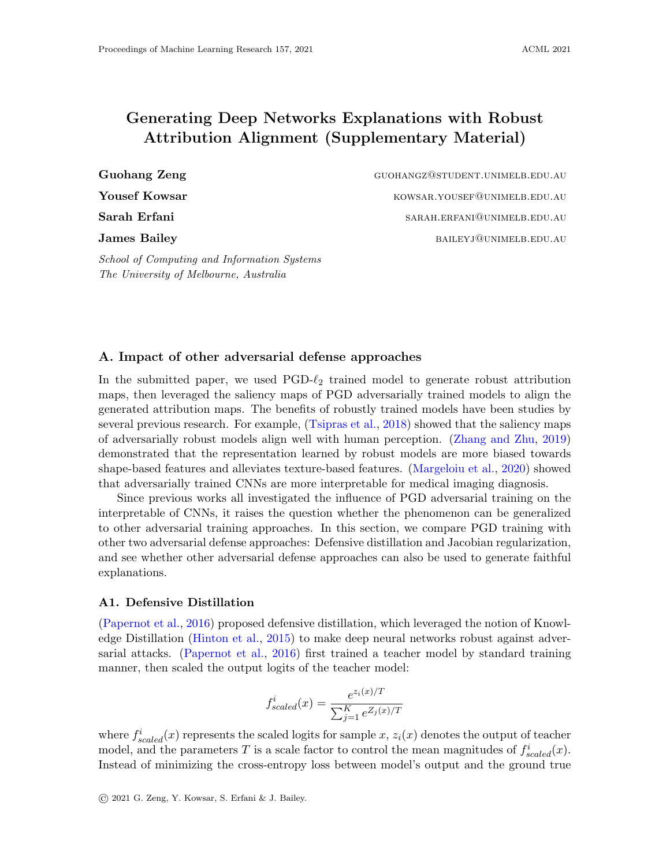# Generating Deep Networks Explanations with Robust Attribution Alignment (Supplementary Material)

Guohang Zeng Guohangz@student.unimelb.edu.au **Yousef Kowsar** Kowsar. Kowsar.*Yousef@unimelb.edu.au* Sarah Erfani sarah sarah. Sarah. ERFANI@UNIMELB.EDU.AU James Bailey bailey bailey baileyj@unimelb.edu.au

A. Impact of other adversarial defense approaches

School of Computing and Information Systems

The University of Melbourne, Australia

In the submitted paper, we used  $PGD-\ell_2$  trained model to generate robust attribution maps, then leveraged the saliency maps of PGD adversarially trained models to align the generated attribution maps. The benefits of robustly trained models have been studies by several previous research. For example, [\(Tsipras et al.,](#page-6-0) [2018\)](#page-6-0) showed that the saliency maps of adversarially robust models align well with human perception. [\(Zhang and Zhu,](#page-6-1) [2019\)](#page-6-1) demonstrated that the representation learned by robust models are more biased towards shape-based features and alleviates texture-based features. [\(Margeloiu et al.,](#page-5-0) [2020\)](#page-5-0) showed that adversarially trained CNNs are more interpretable for medical imaging diagnosis.

Since previous works all investigated the influence of PGD adversarial training on the interpretable of CNNs, it raises the question whether the phenomenon can be generalized to other adversarial training approaches. In this section, we compare PGD training with other two adversarial defense approaches: Defensive distillation and Jacobian regularization, and see whether other adversarial defense approaches can also be used to generate faithful explanations.

# A1. Defensive Distillation

[\(Papernot et al.,](#page-6-2) [2016\)](#page-6-2) proposed defensive distillation, which leveraged the notion of Knowledge Distillation [\(Hinton et al.,](#page-5-1) [2015\)](#page-5-1) to make deep neural networks robust against adversarial attacks. [\(Papernot et al.,](#page-6-2) [2016\)](#page-6-2) first trained a teacher model by standard training manner, then scaled the output logits of the teacher model:

$$
f_{scaled}^{i}(x) = \frac{e^{z_i(x)/T}}{\sum_{j=1}^{K} e^{Z_j(x)/T}}
$$

where  $f_{scaled}^{i}(x)$  represents the scaled logits for sample x,  $z_{i}(x)$  denotes the output of teacher model, and the parameters T is a scale factor to control the mean magnitudes of  $f_{scaled}^{i}(x)$ . Instead of minimizing the cross-entropy loss between model's output and the ground true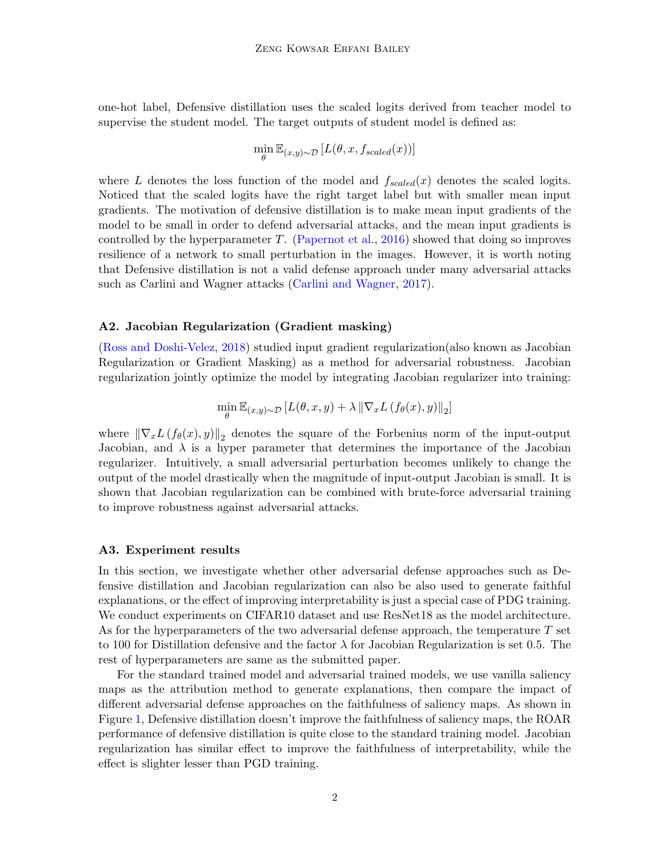one-hot label, Defensive distillation uses the scaled logits derived from teacher model to supervise the student model. The target outputs of student model is defined as:

$$
\min_{\theta} \mathbb{E}_{(x,y)\sim\mathcal{D}}\left[L(\theta, x, f_{scaled}(x))\right]
$$

where L denotes the loss function of the model and  $f_{scaled}(x)$  denotes the scaled logits. Noticed that the scaled logits have the right target label but with smaller mean input gradients. The motivation of defensive distillation is to make mean input gradients of the model to be small in order to defend adversarial attacks, and the mean input gradients is controlled by the hyperparameter T. [\(Papernot et al.,](#page-6-2) [2016\)](#page-6-2) showed that doing so improves resilience of a network to small perturbation in the images. However, it is worth noting that Defensive distillation is not a valid defense approach under many adversarial attacks such as Carlini and Wagner attacks [\(Carlini and Wagner,](#page-5-2) [2017\)](#page-5-2).

### A2. Jacobian Regularization (Gradient masking)

[\(Ross and Doshi-Velez,](#page-6-3) [2018\)](#page-6-3) studied input gradient regularization(also known as Jacobian Regularization or Gradient Masking) as a method for adversarial robustness. Jacobian regularization jointly optimize the model by integrating Jacobian regularizer into training:

$$
\min_{\theta} \mathbb{E}_{(x,y)\sim\mathcal{D}}\left[L(\theta, x, y) + \lambda \left\|\nabla_x L\left(f_{\theta}(x), y\right)\right\|_2\right]
$$

where  $\|\nabla_x L(f_\theta(x), y)\|_2$  denotes the square of the Forbenius norm of the input-output Jacobian, and  $\lambda$  is a hyper parameter that determines the importance of the Jacobian regularizer. Intuitively, a small adversarial perturbation becomes unlikely to change the output of the model drastically when the magnitude of input-output Jacobian is small. It is shown that Jacobian regularization can be combined with brute-force adversarial training to improve robustness against adversarial attacks.

#### A3. Experiment results

In this section, we investigate whether other adversarial defense approaches such as Defensive distillation and Jacobian regularization can also be also used to generate faithful explanations, or the effect of improving interpretability is just a special case of PDG training. We conduct experiments on CIFAR10 dataset and use ResNet18 as the model architecture. As for the hyperparameters of the two adversarial defense approach, the temperature T set to 100 for Distillation defensive and the factor  $\lambda$  for Jacobian Regularization is set 0.5. The rest of hyperparameters are same as the submitted paper.

For the standard trained model and adversarial trained models, we use vanilla saliency maps as the attribution method to generate explanations, then compare the impact of different adversarial defense approaches on the faithfulness of saliency maps. As shown in Figure [1,](#page-2-0) Defensive distillation doesn't improve the faithfulness of saliency maps, the ROAR performance of defensive distillation is quite close to the standard training model. Jacobian regularization has similar effect to improve the faithfulness of interpretability, while the effect is slighter lesser than PGD training.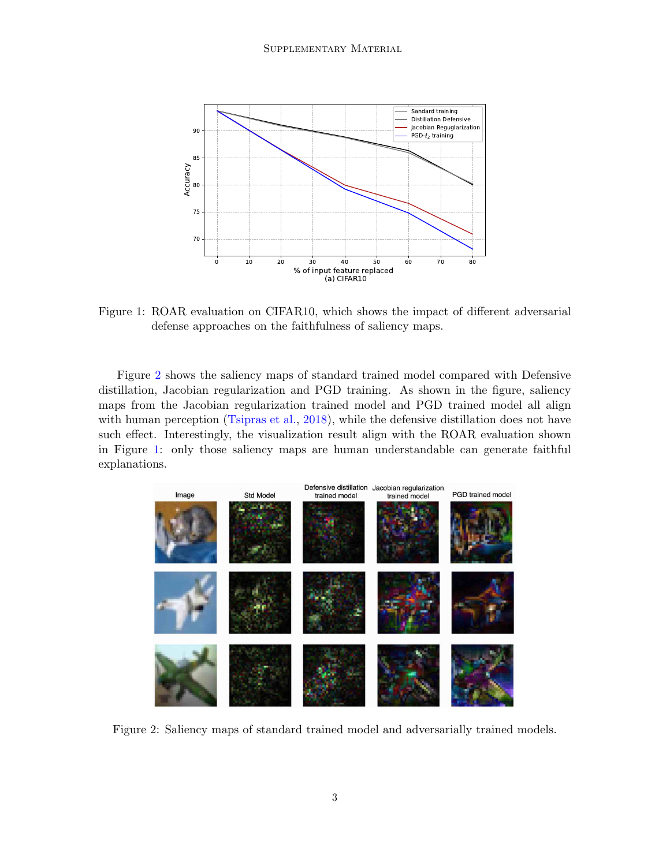

<span id="page-2-0"></span>Figure 1: ROAR evaluation on CIFAR10, which shows the impact of different adversarial defense approaches on the faithfulness of saliency maps.

Figure [2](#page-2-1) shows the saliency maps of standard trained model compared with Defensive distillation, Jacobian regularization and PGD training. As shown in the figure, saliency maps from the Jacobian regularization trained model and PGD trained model all align with human perception [\(Tsipras et al.,](#page-6-0) [2018\)](#page-6-0), while the defensive distillation does not have such effect. Interestingly, the visualization result align with the ROAR evaluation shown in Figure [1:](#page-2-0) only those saliency maps are human understandable can generate faithful explanations.

<span id="page-2-1"></span>

Figure 2: Saliency maps of standard trained model and adversarially trained models.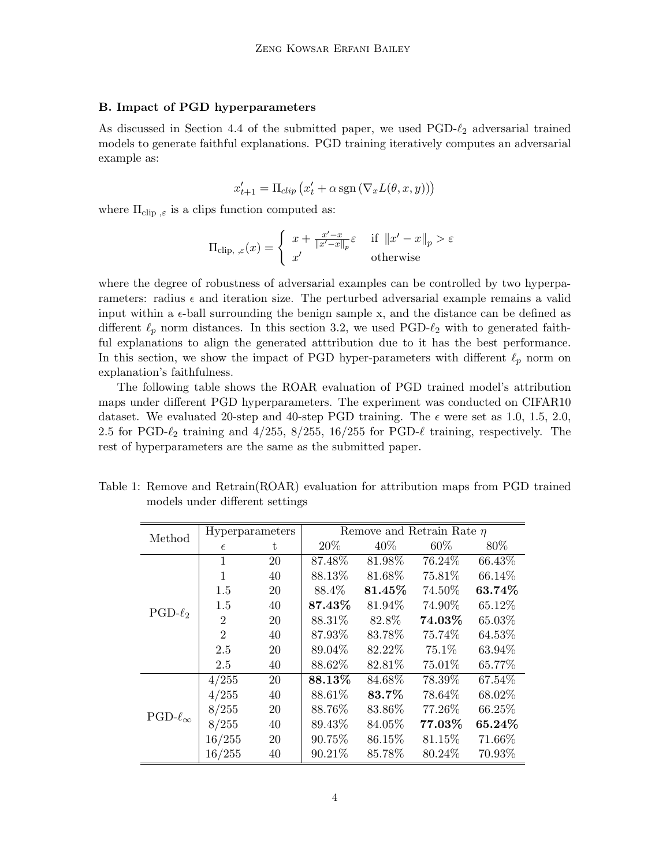# B. Impact of PGD hyperparameters

As discussed in Section 4.4 of the submitted paper, we used  $PGD-\ell_2$  adversarial trained models to generate faithful explanations. PGD training iteratively computes an adversarial example as:

$$
x'_{t+1} = \Pi_{clip} (x'_t + \alpha \operatorname{sgn} (\nabla_x L(\theta, x, y)))
$$

where  $\Pi_{\text{clip}}$  is a clips function computed as:

$$
\Pi_{\text{clip, }\varepsilon}(x) = \begin{cases} x + \frac{x'-x}{\|x'-x\|_p} \varepsilon & \text{if } \|x'-x\|_p > \varepsilon \\ x' & \text{otherwise} \end{cases}
$$

where the degree of robustness of adversarial examples can be controlled by two hyperparameters: radius  $\epsilon$  and iteration size. The perturbed adversarial example remains a valid input within a  $\epsilon$ -ball surrounding the benign sample x, and the distance can be defined as different  $\ell_p$  norm distances. In this section 3.2, we used PGD- $\ell_2$  with to generated faithful explanations to align the generated atttribution due to it has the best performance. In this section, we show the impact of PGD hyper-parameters with different  $\ell_p$  norm on explanation's faithfulness.

The following table shows the ROAR evaluation of PGD trained model's attribution maps under different PGD hyperparameters. The experiment was conducted on CIFAR10 dataset. We evaluated 20-step and 40-step PGD training. The  $\epsilon$  were set as 1.0, 1.5, 2.0, 2.5 for PGD- $\ell_2$  training and 4/255, 8/255, 16/255 for PGD- $\ell$  training, respectively. The rest of hyperparameters are the same as the submitted paper.

| Method              | Hyperparameters |    | Remove and Retrain Rate $\eta$ |         |        |        |
|---------------------|-----------------|----|--------------------------------|---------|--------|--------|
|                     | $\epsilon$      | t. | 20\%                           | $40\%$  | $60\%$ | 80\%   |
| $PGD-\ell_2$        | 1               | 20 | 87.48%                         | 81.98%  | 76.24% | 66.43% |
|                     | $\mathbf{1}$    | 40 | 88.13%                         | 81.68%  | 75.81% | 66.14% |
|                     | 1.5             | 20 | 88.4%                          | 81.45%  | 74.50% | 63.74% |
|                     | 1.5             | 40 | 87.43%                         | 81.94%  | 74.90% | 65.12% |
|                     | $\overline{2}$  | 20 | 88.31%                         | 82.8%   | 74.03% | 65.03% |
|                     | $\overline{2}$  | 40 | 87.93%                         | 83.78\% | 75.74% | 64.53% |
|                     | 2.5             | 20 | 89.04\%                        | 82.22\% | 75.1\% | 63.94% |
|                     | 2.5             | 40 | 88.62%                         | 82.81%  | 75.01% | 65.77% |
| $PGD-\ell_{\infty}$ | 4/255           | 20 | 88.13%                         | 84.68%  | 78.39% | 67.54% |
|                     | 4/255           | 40 | 88.61%                         | 83.7%   | 78.64% | 68.02% |
|                     | 8/255           | 20 | 88.76%                         | 83.86%  | 77.26% | 66.25% |
|                     | 8/255           | 40 | 89.43%                         | 84.05%  | 77.03% | 65.24% |
|                     | 16/255          | 20 | 90.75%                         | 86.15%  | 81.15% | 71.66% |
|                     | 16/255          | 40 | 90.21%                         | 85.78%  | 80.24% | 70.93% |

<span id="page-3-0"></span>Table 1: Remove and Retrain(ROAR) evaluation for attribution maps from PGD trained models under different settings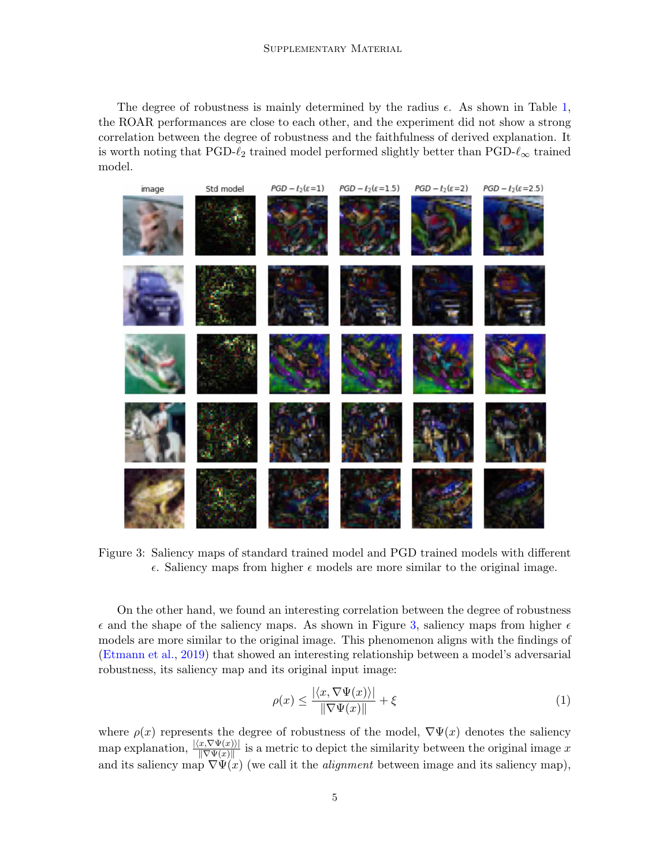The degree of robustness is mainly determined by the radius  $\epsilon$ . As shown in Table [1,](#page-3-0) the ROAR performances are close to each other, and the experiment did not show a strong correlation between the degree of robustness and the faithfulness of derived explanation. It is worth noting that PGD- $\ell_2$  trained model performed slightly better than PGD- $\ell_{\infty}$  trained model.



Figure 3: Saliency maps of standard trained model and PGD trained models with different  $\epsilon$ . Saliency maps from higher  $\epsilon$  models are more similar to the original image.

<span id="page-4-0"></span>On the other hand, we found an interesting correlation between the degree of robustness  $\epsilon$  and the shape of the saliency maps. As shown in Figure [3,](#page-4-0) saliency maps from higher  $\epsilon$ models are more similar to the original image. This phenomenon aligns with the findings of [\(Etmann et al.,](#page-5-3) [2019\)](#page-5-3) that showed an interesting relationship between a model's adversarial robustness, its saliency map and its original input image:

$$
\rho(x) \le \frac{|\langle x, \nabla \Psi(x) \rangle|}{\|\nabla \Psi(x)\|} + \xi \tag{1}
$$

where  $\rho(x)$  represents the degree of robustness of the model,  $\nabla \Psi(x)$  denotes the saliency map explanation,  $\frac{|\langle x, \nabla \Psi(x) \rangle|}{\|\nabla \Psi(x)\|}$  is a metric to depict the similarity between the original image x and its saliency map  $\nabla \Psi(x)$  (we call it the *alignment* between image and its saliency map),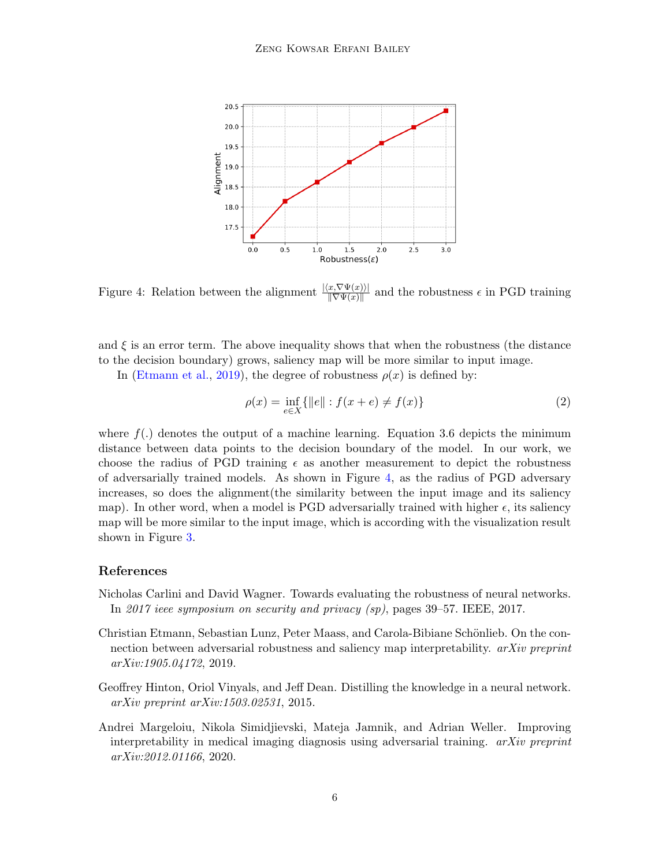

<span id="page-5-4"></span>Figure 4: Relation between the alignment  $\frac{|\langle x, \nabla \Psi(x) \rangle|}{\|\nabla \Psi(x)\|}$ and the robustness  $\epsilon$  in PGD training

and  $\xi$  is an error term. The above inequality shows that when the robustness (the distance to the decision boundary) grows, saliency map will be more similar to input image.

In [\(Etmann et al.,](#page-5-3) [2019\)](#page-5-3), the degree of robustness  $\rho(x)$  is defined by:

$$
\rho(x) = \inf_{e \in X} \{ ||e|| : f(x + e) \neq f(x) \}
$$
\n(2)

where  $f(.)$  denotes the output of a machine learning. Equation 3.6 depicts the minimum distance between data points to the decision boundary of the model. In our work, we choose the radius of PGD training  $\epsilon$  as another measurement to depict the robustness of adversarially trained models. As shown in Figure [4,](#page-5-4) as the radius of PGD adversary increases, so does the alignment(the similarity between the input image and its saliency map). In other word, when a model is PGD adversarially trained with higher  $\epsilon$ , its saliency map will be more similar to the input image, which is according with the visualization result shown in Figure [3.](#page-4-0)

# References

- <span id="page-5-2"></span>Nicholas Carlini and David Wagner. Towards evaluating the robustness of neural networks. In 2017 ieee symposium on security and privacy (sp), pages 39–57. IEEE, 2017.
- <span id="page-5-3"></span>Christian Etmann, Sebastian Lunz, Peter Maass, and Carola-Bibiane Schönlieb. On the connection between adversarial robustness and saliency map interpretability. arXiv preprint arXiv:1905.04172, 2019.
- <span id="page-5-1"></span>Geoffrey Hinton, Oriol Vinyals, and Jeff Dean. Distilling the knowledge in a neural network. arXiv preprint arXiv:1503.02531, 2015.
- <span id="page-5-0"></span>Andrei Margeloiu, Nikola Simidjievski, Mateja Jamnik, and Adrian Weller. Improving interpretability in medical imaging diagnosis using adversarial training.  $arXiv$  preprint arXiv:2012.01166, 2020.